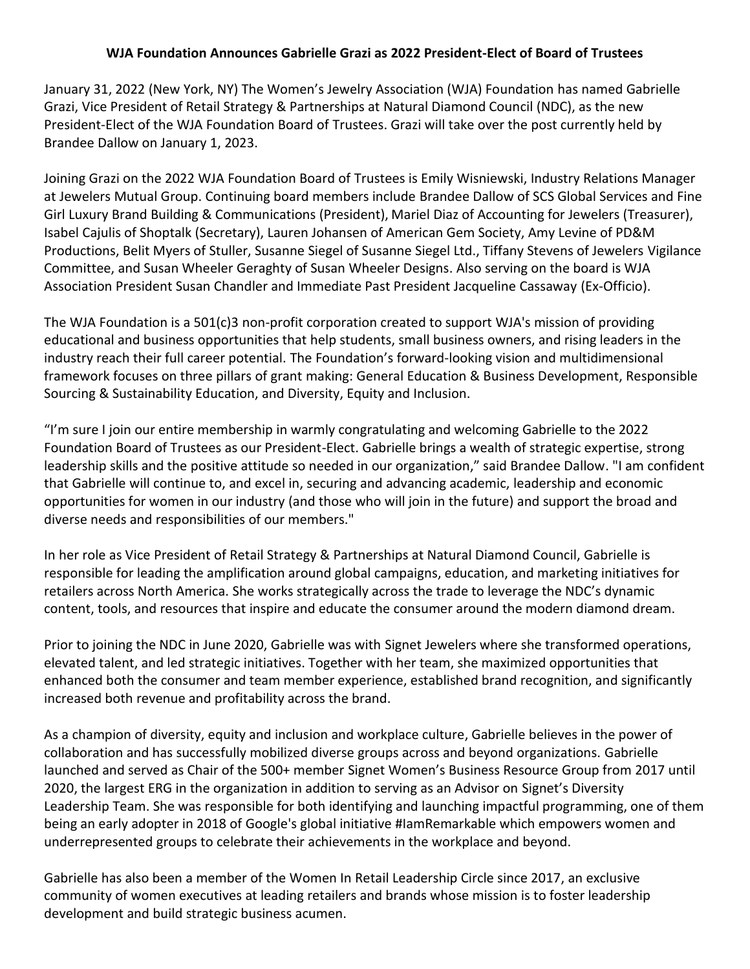## **WJA Foundation Announces Gabrielle Grazi as 2022 President-Elect of Board of Trustees**

January 31, 2022 (New York, NY) The Women's Jewelry Association (WJA) Foundation has named Gabrielle Grazi, Vice President of Retail Strategy & Partnerships at Natural Diamond Council (NDC), as the new President-Elect of the WJA Foundation Board of Trustees. Grazi will take over the post currently held by Brandee Dallow on January 1, 2023.

Joining Grazi on the 2022 WJA Foundation Board of Trustees is Emily Wisniewski, Industry Relations Manager at Jewelers Mutual Group. Continuing board members include Brandee Dallow of SCS Global Services and Fine Girl Luxury Brand Building & Communications (President), Mariel Diaz of Accounting for Jewelers (Treasurer), Isabel Cajulis of Shoptalk (Secretary), Lauren Johansen of American Gem Society, Amy Levine of PD&M Productions, Belit Myers of Stuller, Susanne Siegel of Susanne Siegel Ltd., Tiffany Stevens of Jewelers Vigilance Committee, and Susan Wheeler Geraghty of Susan Wheeler Designs. Also serving on the board is WJA Association President Susan Chandler and Immediate Past President Jacqueline Cassaway (Ex-Officio).

The WJA Foundation is a 501(c)3 non-profit corporation created to support WJA's mission of providing educational and business opportunities that help students, small business owners, and rising leaders in the industry reach their full career potential. The Foundation's forward-looking vision and multidimensional framework focuses on three pillars of grant making: General Education & Business Development, Responsible Sourcing & Sustainability Education, and Diversity, Equity and Inclusion.

"I'm sure I join our entire membership in warmly congratulating and welcoming Gabrielle to the 2022 Foundation Board of Trustees as our President-Elect. Gabrielle brings a wealth of strategic expertise, strong leadership skills and the positive attitude so needed in our organization," said Brandee Dallow. "I am confident that Gabrielle will continue to, and excel in, securing and advancing academic, leadership and economic opportunities for women in our industry (and those who will join in the future) and support the broad and diverse needs and responsibilities of our members."

In her role as Vice President of Retail Strategy & Partnerships at Natural Diamond Council, Gabrielle is responsible for leading the amplification around global campaigns, education, and marketing initiatives for retailers across North America. She works strategically across the trade to leverage the NDC's dynamic content, tools, and resources that inspire and educate the consumer around the modern diamond dream.

Prior to joining the NDC in June 2020, Gabrielle was with Signet Jewelers where she transformed operations, elevated talent, and led strategic initiatives. Together with her team, she maximized opportunities that enhanced both the consumer and team member experience, established brand recognition, and significantly increased both revenue and profitability across the brand.

As a champion of diversity, equity and inclusion and workplace culture, Gabrielle believes in the power of collaboration and has successfully mobilized diverse groups across and beyond organizations. Gabrielle launched and served as Chair of the 500+ member Signet Women's Business Resource Group from 2017 until 2020, the largest ERG in the organization in addition to serving as an Advisor on Signet's Diversity Leadership Team. She was responsible for both identifying and launching impactful programming, one of them being an early adopter in 2018 of Google's global initiative #IamRemarkable which empowers women and underrepresented groups to celebrate their achievements in the workplace and beyond.

Gabrielle has also been a member of the Women In Retail Leadership Circle since 2017, an exclusive community of women executives at leading retailers and brands whose mission is to foster leadership development and build strategic business acumen.